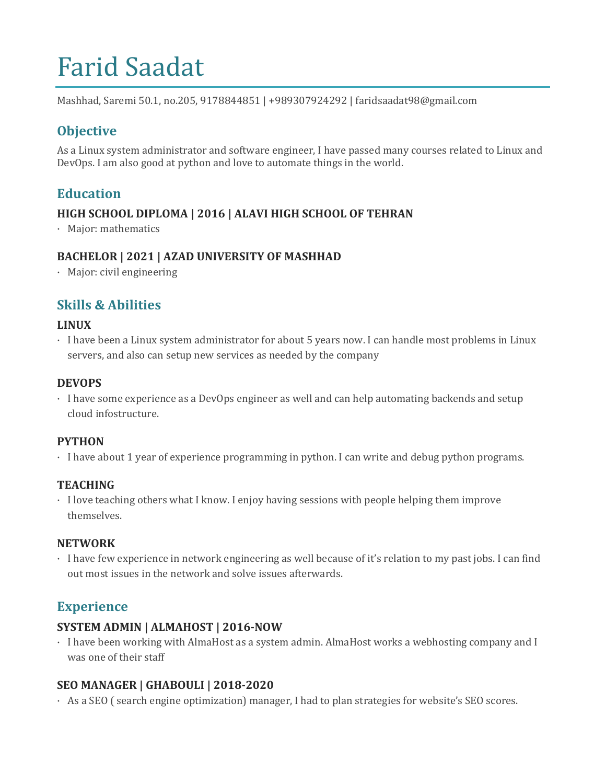# Farid Saadat

Mashhad, Saremi 50.1, no.205, 9178844851 | +989307924292 | faridsaadat98@gmail.com

# **Objective**

As a Linux system administrator and software engineer, I have passed many courses related to Linux and DevOps. I am also good at python and love to automate things in the world.

## **Education**

#### **HIGH SCHOOL DIPLOMA | 2016 | ALAVI HIGH SCHOOL OF TEHRAN**

· Major: mathematics

#### **BACHELOR | 2021 | AZAD UNIVERSITY OF MASHHAD**

· Major: civil engineering

## **Skills & Abilities**

#### **LINUX**

· I have been a Linux system administrator for about 5 years now. I can handle most problems in Linux servers, and also can setup new services as needed by the company

#### **DEVOPS**

· I have some experience as a DevOps engineer as well and can help automating backends and setup cloud infostructure.

#### **PYTHON**

· I have about 1 year of experience programming in python. I can write and debug python programs.

#### **TEACHING**

· I love teaching others what I know. I enjoy having sessions with people helping them improve themselves.

#### **NETWORK**

· I have few experience in network engineering as well because of it's relation to my past jobs. I can find out most issues in the network and solve issues afterwards.

## **Experience**

#### **SYSTEM ADMIN | ALMAHOST | 2016-NOW**

· I have been working with AlmaHost as a system admin. AlmaHost works a webhosting company and I was one of their staff

#### **SEO MANAGER | GHABOULI | 2018-2020**

· As a SEO ( search engine optimization) manager, I had to plan strategies for website's SEO scores.